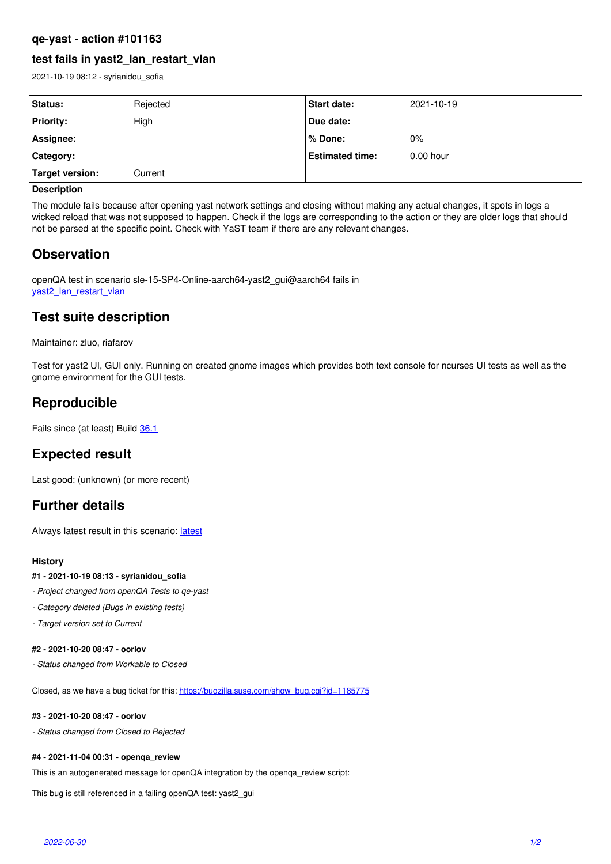### **qe-yast - action #101163**

## **test fails in yast2\_lan\_restart\_vlan**

2021-10-19 08:12 - syrianidou\_sofia

| Status:          | Rejected | Start date:            | 2021-10-19  |
|------------------|----------|------------------------|-------------|
| <b>Priority:</b> | High     | Due date:              |             |
| Assignee:        |          | ∣% Done:               | 0%          |
| Category:        |          | <b>Estimated time:</b> | $0.00$ hour |
| Target version:  | Current  |                        |             |

### **Description**

The module fails because after opening yast network settings and closing without making any actual changes, it spots in logs a wicked reload that was not supposed to happen. Check if the logs are corresponding to the action or they are older logs that should not be parsed at the specific point. Check with YaST team if there are any relevant changes.

# **Observation**

openQA test in scenario sle-15-SP4-Online-aarch64-yast2\_gui@aarch64 fails in [yast2\\_lan\\_restart\\_vlan](https://openqa.suse.de/tests/7461525/modules/yast2_lan_restart_vlan/steps/54)

# **Test suite description**

Maintainer: zluo, riafarov

Test for yast2 UI, GUI only. Running on created gnome images which provides both text console for ncurses UI tests as well as the gnome environment for the GUI tests.

# **Reproducible**

Fails since (at least) Build [36.1](https://openqa.suse.de/tests/7137082)

# **Expected result**

Last good: (unknown) (or more recent)

## **Further details**

Always [latest](https://openqa.suse.de/tests/latest?arch=aarch64&distri=sle&flavor=Online&machine=aarch64&test=yast2_gui&version=15-SP4) result in this scenario: latest

### **History**

### **#1 - 2021-10-19 08:13 - syrianidou\_sofia**

- *Project changed from openQA Tests to qe-yast*
- *Category deleted (Bugs in existing tests)*
- *Target version set to Current*

### **#2 - 2021-10-20 08:47 - oorlov**

*- Status changed from Workable to Closed*

Closed, as we have a bug ticket for this: [https://bugzilla.suse.com/show\\_bug.cgi?id=1185775](https://bugzilla.suse.com/show_bug.cgi?id=1185775)

### **#3 - 2021-10-20 08:47 - oorlov**

*- Status changed from Closed to Rejected*

### **#4 - 2021-11-04 00:31 - openqa\_review**

This is an autogenerated message for openQA integration by the openqa\_review script:

This bug is still referenced in a failing openQA test: yast2\_gui